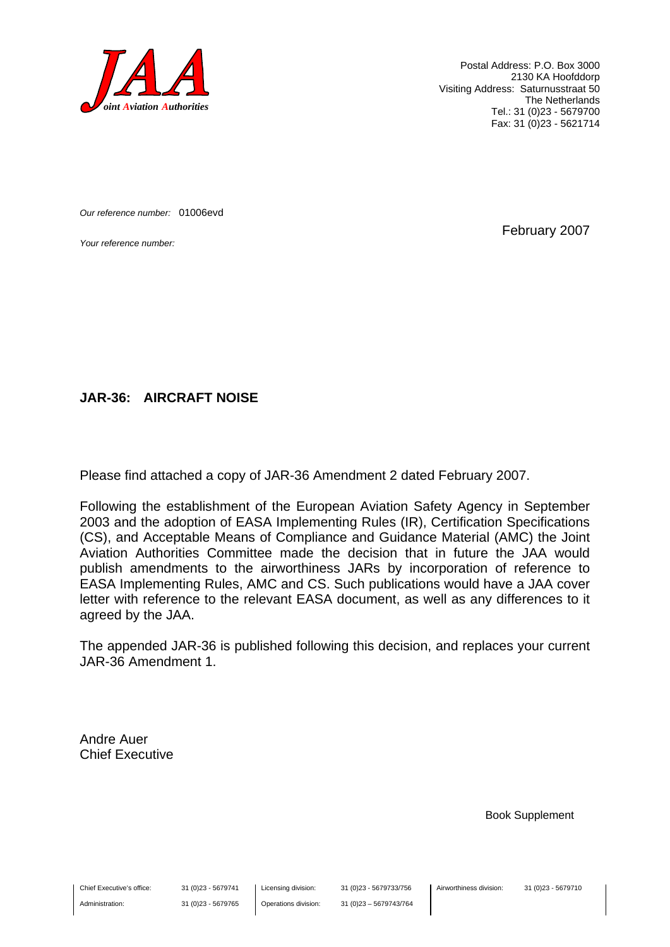

Postal Address: P.O. Box 3000 2130 KA Hoofddorp Visiting Address: Saturnusstraat 50 The Netherlands Tel.: 31 (0)23 - 5679700 Fax: 31 (0)23 - 5621714

*Our reference number:* 01006evd

*Your reference number:* February 2007

#### **JAR-36: AIRCRAFT NOISE**

Please find attached a copy of JAR-36 Amendment 2 dated February 2007.

Following the establishment of the European Aviation Safety Agency in September 2003 and the adoption of EASA Implementing Rules (IR), Certification Specifications (CS), and Acceptable Means of Compliance and Guidance Material (AMC) the Joint Aviation Authorities Committee made the decision that in future the JAA would publish amendments to the airworthiness JARs by incorporation of reference to EASA Implementing Rules, AMC and CS. Such publications would have a JAA cover letter with reference to the relevant EASA document, as well as any differences to it agreed by the JAA.

The appended JAR-36 is published following this decision, and replaces your current JAR-36 Amendment 1.

Andre Auer Chief Executive

Book Supplement

Chief Executive's office:

Administration:

Licensing division: Operations division: 31 (0)23 - 5679733/756 31 (0)23 – 5679743/764 Airworthiness division: 31 (0)23 - 5679710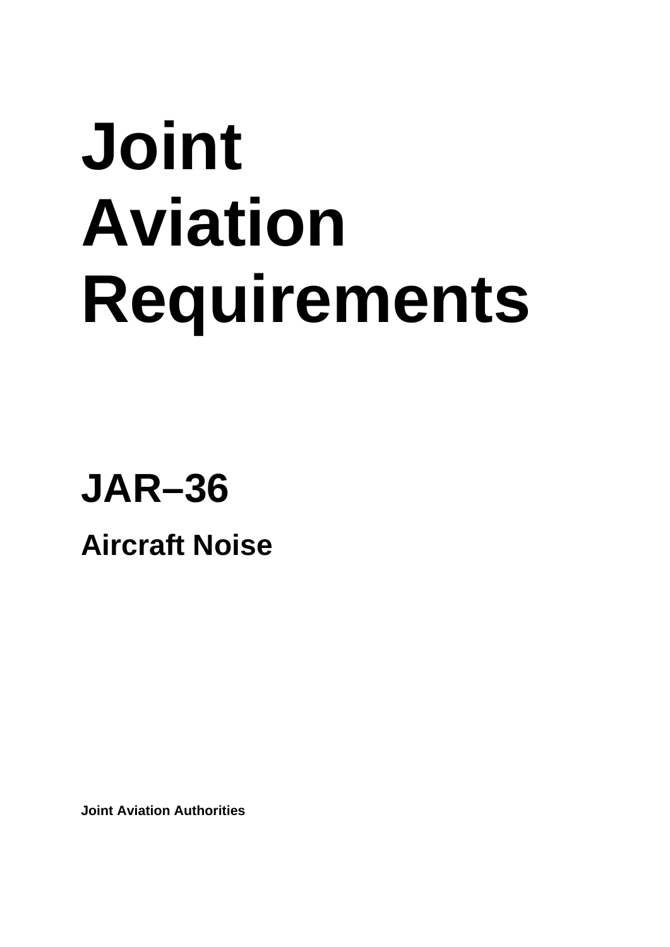# **Joint Aviation Requirements**

## **JAR–36**

**Aircraft Noise** 

**Joint Aviation Authorities**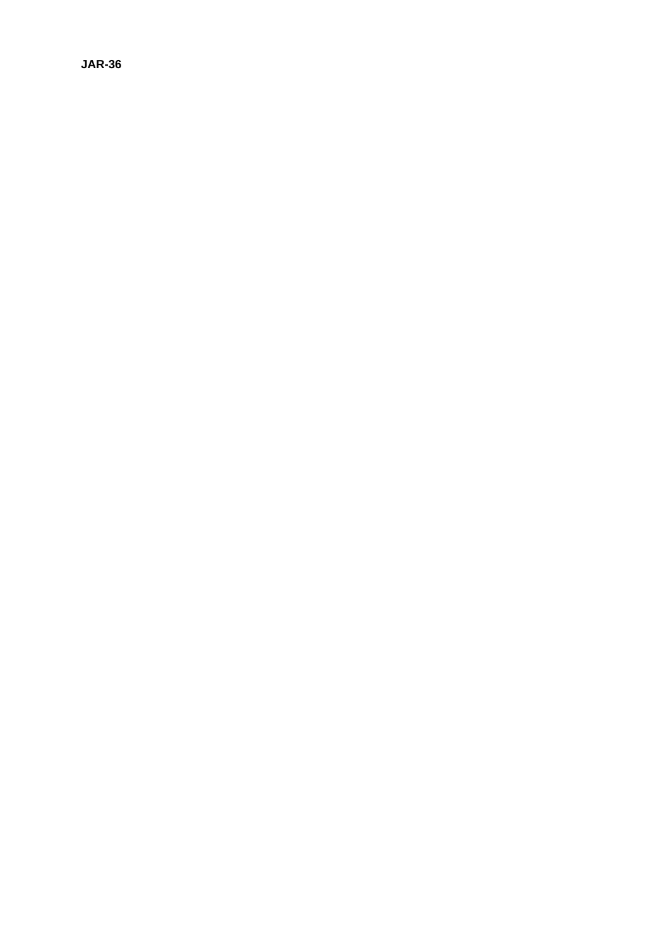**JAR-36**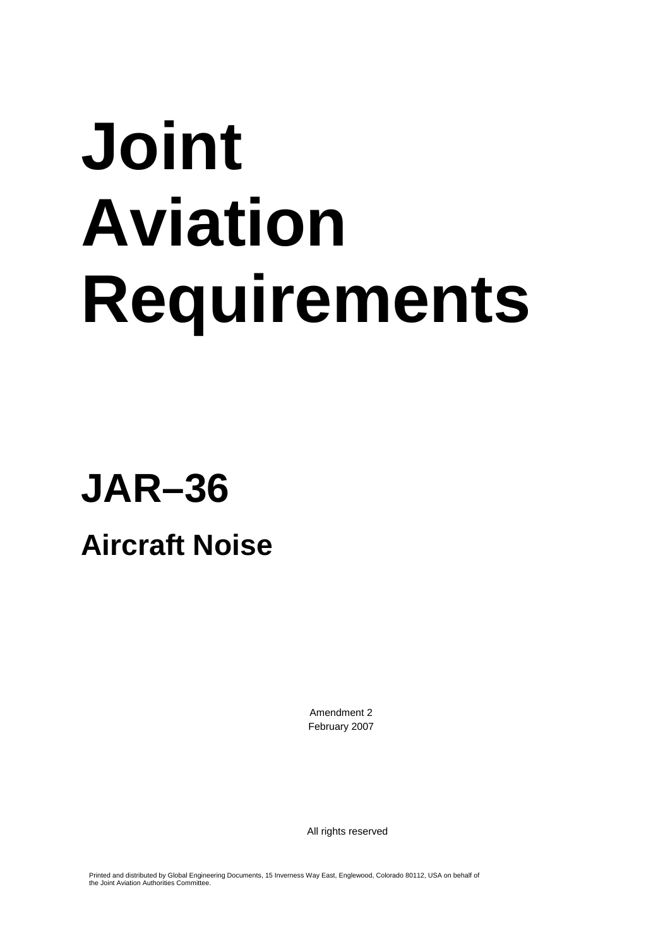# **Joint Aviation Requirements**

## **JAR–36**

### **Aircraft Noise**

Amendment 2 February 2007

All rights reserved

Printed and distributed by Global Engineering Documents, 15 Inverness Way East, Englewood, Colorado 80112, USA on behalf of the Joint Aviation Authorities Committee.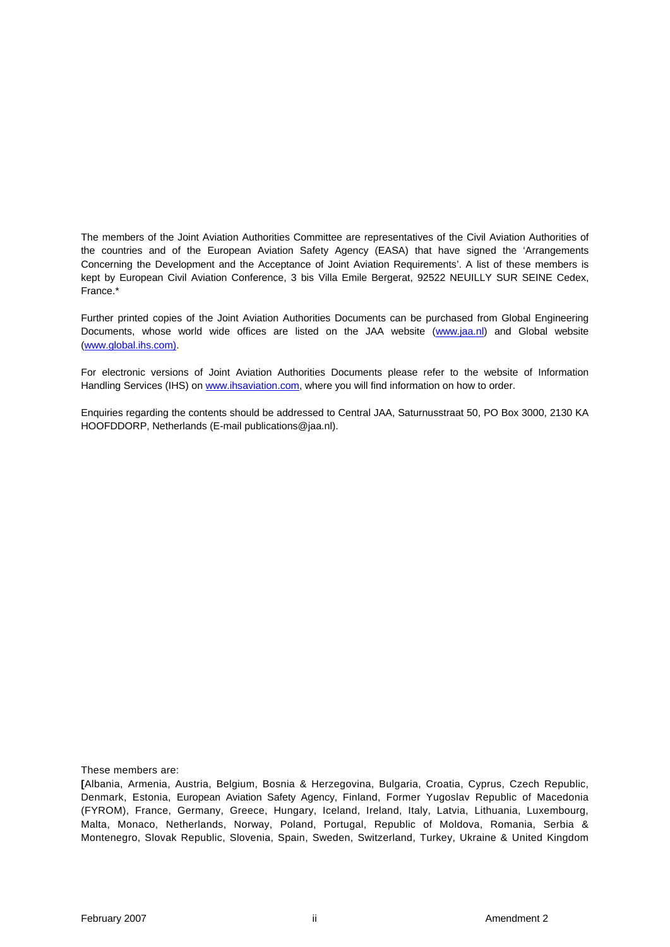The members of the Joint Aviation Authorities Committee are representatives of the Civil Aviation Authorities of the countries and of the European Aviation Safety Agency (EASA) that have signed the 'Arrangements Concerning the Development and the Acceptance of Joint Aviation Requirements'. A list of these members is kept by European Civil Aviation Conference, 3 bis Villa Emile Bergerat, 92522 NEUILLY SUR SEINE Cedex, France.\*

Further printed copies of the Joint Aviation Authorities Documents can be purchased from Global Engineering Documents, whose world wide offices are listed on the JAA website (www.jaa.nl) and Global website (www.global.ihs.com).

For electronic versions of Joint Aviation Authorities Documents please refer to the website of Information Handling Services (IHS) on www.ihsaviation.com, where you will find information on how to order.

Enquiries regarding the contents should be addressed to Central JAA, Saturnusstraat 50, PO Box 3000, 2130 KA HOOFDDORP, Netherlands (E-mail publications@jaa.nl).

These members are:

**<sup>[</sup>**Albania, Armenia, Austria, Belgium, Bosnia & Herzegovina, Bulgaria, Croatia, Cyprus, Czech Republic, Denmark, Estonia, European Aviation Safety Agency, Finland, Former Yugoslav Republic of Macedonia (FYROM), France, Germany, Greece, Hungary, Iceland, Ireland, Italy, Latvia, Lithuania, Luxembourg, Malta, Monaco, Netherlands, Norway, Poland, Portugal, Republic of Moldova, Romania, Serbia & Montenegro, Slovak Republic, Slovenia, Spain, Sweden, Switzerland, Turkey, Ukraine & United Kingdom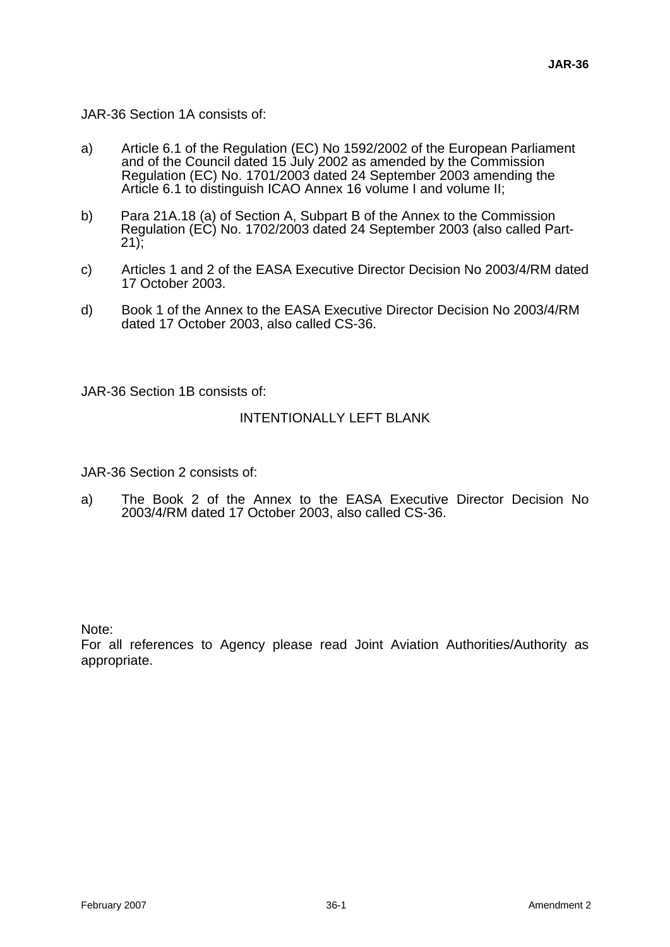JAR-36 Section 1A consists of:

- a) Article 6.1 of the Regulation (EC) No 1592/2002 of the European Parliament and of the Council dated 15 July 2002 as amended by the Commission Regulation (EC) No. 1701/2003 dated 24 September 2003 amending the Article 6.1 to distinguish ICAO Annex 16 volume I and volume II:
- b) Para 21A.18 (a) of Section A, Subpart B of the Annex to the Commission Regulation (EC) No. 1702/2003 dated 24 September 2003 (also called Part- $21$ ):
- c) Articles 1 and 2 of the EASA Executive Director Decision No 2003/4/RM dated 17 October 2003.
- d) Book 1 of the Annex to the EASA Executive Director Decision No 2003/4/RM dated 17 October 2003, also called CS-36.

JAR-36 Section 1B consists of:

#### INTENTIONALLY LEFT BLANK

JAR-36 Section 2 consists of:

a) The Book 2 of the Annex to the EASA Executive Director Decision No 2003/4/RM dated 17 October 2003, also called CS-36.

Note:

For all references to Agency please read Joint Aviation Authorities/Authority as appropriate.